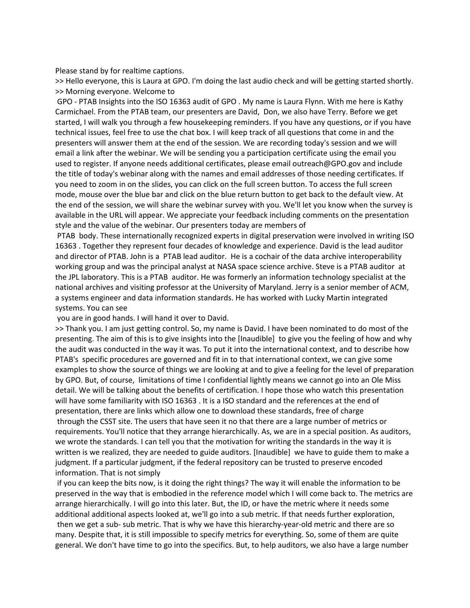Please stand by for realtime captions.

>> Hello everyone, this is Laura at GPO. I'm doing the last audio check and will be getting started shortly. >> Morning everyone. Welcome to

GPO - PTAB Insights into the ISO 16363 audit of GPO . My name is Laura Flynn. With me here is Kathy Carmichael. From the PTAB team, our presenters are David, Don, we also have Terry. Before we get started, I will walk you through a few housekeeping reminders. If you have any questions, or if you have technical issues, feel free to use the chat box. I will keep track of all questions that come in and the presenters will answer them at the end of the session. We are recording today's session and we will email a link after the webinar. We will be sending you a participation certificate using the email you used to register. If anyone needs additional certificates, please email outreach@GPO.gov and include the title of today's webinar along with the names and email addresses of those needing certificates. If you need to zoom in on the slides, you can click on the full screen button. To access the full screen mode, mouse over the blue bar and click on the blue return button to get back to the default view. At the end of the session, we will share the webinar survey with you. We'll let you know when the survey is available in the URL will appear. We appreciate your feedback including comments on the presentation style and the value of the webinar. Our presenters today are members of

PTAB body. These internationally recognized experts in digital preservation were involved in writing ISO 16363 . Together they represent four decades of knowledge and experience. David is the lead auditor and director of PTAB. John is a PTAB lead auditor. He is a cochair of the data archive interoperability working group and was the principal analyst at NASA space science archive. Steve is a PTAB auditor at the JPL laboratory. This is a PTAB auditor. He was formerly an information technology specialist at the national archives and visiting professor at the University of Maryland. Jerry is a senior member of ACM, a systems engineer and data information standards. He has worked with Lucky Martin integrated systems. You can see

you are in good hands. I will hand it over to David.

>> Thank you. I am just getting control. So, my name is David. I have been nominated to do most of the presenting. The aim of this is to give insights into the [Inaudible] to give you the feeling of how and why the audit was conducted in the way it was. To put it into the international context, and to describe how PTAB's specific procedures are governed and fit in to that international context, we can give some examples to show the source of things we are looking at and to give a feeling for the level of preparation by GPO. But, of course, limitations of time I confidential lightly means we cannot go into an Ole Miss detail. We will be talking about the benefits of certification. I hope those who watch this presentation will have some familiarity with ISO 16363 . It is a ISO standard and the references at the end of presentation, there are links which allow one to download these standards, free of charge through the CSST site. The users that have seen it no that there are a large number of metrics or requirements. You'll notice that they arrange hierarchically. As, we are in a special position. As auditors, we wrote the standards. I can tell you that the motivation for writing the standards in the way it is written is we realized, they are needed to guide auditors. [Inaudible] we have to guide them to make a judgment. If a particular judgment, if the federal repository can be trusted to preserve encoded information. That is not simply

if you can keep the bits now, is it doing the right things? The way it will enable the information to be preserved in the way that is embodied in the reference model which I will come back to. The metrics are arrange hierarchically. I will go into this later. But, the ID, or have the metric where it needs some additional additional aspects looked at, we'll go into a sub metric. If that needs further exploration, then we get a sub- sub metric. That is why we have this hierarchy-year-old metric and there are so many. Despite that, it is still impossible to specify metrics for everything. So, some of them are quite general. We don't have time to go into the specifics. But, to help auditors, we also have a large number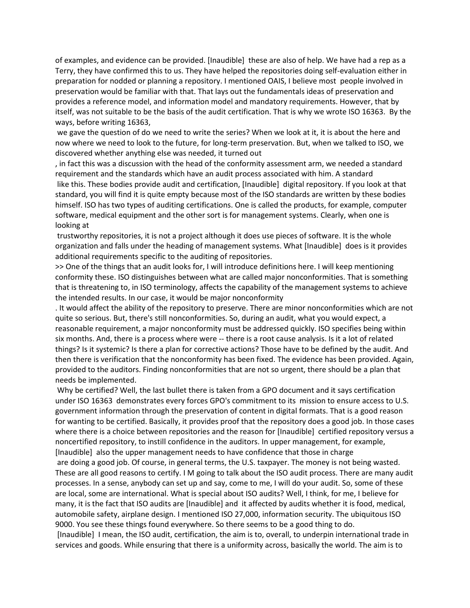of examples, and evidence can be provided. [Inaudible] these are also of help. We have had a rep as a Terry, they have confirmed this to us. They have helped the repositories doing self-evaluation either in preparation for nodded or planning a repository. I mentioned OAIS, I believe most people involved in preservation would be familiar with that. That lays out the fundamentals ideas of preservation and provides a reference model, and information model and mandatory requirements. However, that by itself, was not suitable to be the basis of the audit certification. That is why we wrote ISO 16363. By the ways, before writing 16363,

we gave the question of do we need to write the series? When we look at it, it is about the here and now where we need to look to the future, for long-term preservation. But, when we talked to ISO, we discovered whether anything else was needed, it turned out

, in fact this was a discussion with the head of the conformity assessment arm, we needed a standard requirement and the standards which have an audit process associated with him. A standard like this. These bodies provide audit and certification, [Inaudible] digital repository. If you look at that standard, you will find it is quite empty because most of the ISO standards are written by these bodies himself. ISO has two types of auditing certifications. One is called the products, for example, computer software, medical equipment and the other sort is for management systems. Clearly, when one is looking at

trustworthy repositories, it is not a project although it does use pieces of software. It is the whole organization and falls under the heading of management systems. What [Inaudible] does is it provides additional requirements specific to the auditing of repositories.

>> One of the things that an audit looks for, I will introduce definitions here. I will keep mentioning conformity these. ISO distinguishes between what are called major nonconformities. That is something that is threatening to, in ISO terminology, affects the capability of the management systems to achieve the intended results. In our case, it would be major nonconformity

. It would affect the ability of the repository to preserve. There are minor nonconformities which are not quite so serious. But, there's still nonconformities. So, during an audit, what you would expect, a reasonable requirement, a major nonconformity must be addressed quickly. ISO specifies being within six months. And, there is a process where were -- there is a root cause analysis. Is it a lot of related things? Is it systemic? Is there a plan for corrective actions? Those have to be defined by the audit. And then there is verification that the nonconformity has been fixed. The evidence has been provided. Again, provided to the auditors. Finding nonconformities that are not so urgent, there should be a plan that needs be implemented.

Why be certified? Well, the last bullet there is taken from a GPO document and it says certification under ISO 16363 demonstrates every forces GPO's commitment to its mission to ensure access to U.S. government information through the preservation of content in digital formats. That is a good reason for wanting to be certified. Basically, it provides proof that the repository does a good job. In those cases where there is a choice between repositories and the reason for [Inaudible] certified repository versus a noncertified repository, to instill confidence in the auditors. In upper management, for example, [Inaudible] also the upper management needs to have confidence that those in charge

are doing a good job. Of course, in general terms, the U.S. taxpayer. The money is not being wasted. These are all good reasons to certify. I M going to talk about the ISO audit process. There are many audit processes. In a sense, anybody can set up and say, come to me, I will do your audit. So, some of these are local, some are international. What is special about ISO audits? Well, I think, for me, I believe for many, it is the fact that ISO audits are [Inaudible] and it affected by audits whether it is food, medical, automobile safety, airplane design. I mentioned ISO 27,000, information security. The ubiquitous ISO 9000. You see these things found everywhere. So there seems to be a good thing to do.

[Inaudible] I mean, the ISO audit, certification, the aim is to, overall, to underpin international trade in services and goods. While ensuring that there is a uniformity across, basically the world. The aim is to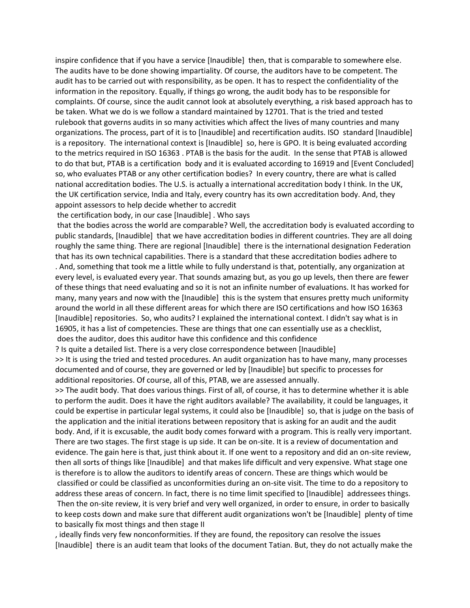inspire confidence that if you have a service [Inaudible] then, that is comparable to somewhere else. The audits have to be done showing impartiality. Of course, the auditors have to be competent. The audit has to be carried out with responsibility, as be open. It has to respect the confidentiality of the information in the repository. Equally, if things go wrong, the audit body has to be responsible for complaints. Of course, since the audit cannot look at absolutely everything, a risk based approach has to be taken. What we do is we follow a standard maintained by 12701. That is the tried and tested rulebook that governs audits in so many activities which affect the lives of many countries and many organizations. The process, part of it is to [Inaudible] and recertification audits. ISO standard [Inaudible] is a repository. The international context is [Inaudible] so, here is GPO. It is being evaluated according to the metrics required in ISO 16363 . PTAB is the basis for the audit. In the sense that PTAB is allowed to do that but, PTAB is a certification body and it is evaluated according to 16919 and [Event Concluded] so, who evaluates PTAB or any other certification bodies? In every country, there are what is called national accreditation bodies. The U.S. is actually a international accreditation body I think. In the UK, the UK certification service, India and Italy, every country has its own accreditation body. And, they appoint assessors to help decide whether to accredit

the certification body, in our case [Inaudible] . Who says

that the bodies across the world are comparable? Well, the accreditation body is evaluated according to public standards, [Inaudible] that we have accreditation bodies in different countries. They are all doing roughly the same thing. There are regional [Inaudible] there is the international designation Federation that has its own technical capabilities. There is a standard that these accreditation bodies adhere to . And, something that took me a little while to fully understand is that, potentially, any organization at every level, is evaluated every year. That sounds amazing but, as you go up levels, then there are fewer of these things that need evaluating and so it is not an infinite number of evaluations. It has worked for many, many years and now with the [Inaudible] this is the system that ensures pretty much uniformity around the world in all these different areas for which there are ISO certifications and how ISO 16363 [Inaudible] repositories. So, who audits? I explained the international context. I didn't say what is in 16905, it has a list of competencies. These are things that one can essentially use as a checklist, does the auditor, does this auditor have this confidence and this confidence

? Is quite a detailed list. There is a very close correspondence between [Inaudible]

>> It is using the tried and tested procedures. An audit organization has to have many, many processes documented and of course, they are governed or led by [Inaudible] but specific to processes for additional repositories. Of course, all of this, PTAB, we are assessed annually.

>> The audit body. That does various things. First of all, of course, it has to determine whether it is able to perform the audit. Does it have the right auditors available? The availability, it could be languages, it could be expertise in particular legal systems, it could also be [Inaudible] so, that is judge on the basis of the application and the initial iterations between repository that is asking for an audit and the audit body. And, if it is excusable, the audit body comes forward with a program. This is really very important. There are two stages. The first stage is up side. It can be on-site. It is a review of documentation and evidence. The gain here is that, just think about it. If one went to a repository and did an on-site review, then all sorts of things like [Inaudible] and that makes life difficult and very expensive. What stage one is therefore is to allow the auditors to identify areas of concern. These are things which would be classified or could be classified as unconformities during an on-site visit. The time to do a repository to address these areas of concern. In fact, there is no time limit specified to [Inaudible] addressees things. Then the on-site review, it is very brief and very well organized, in order to ensure, in order to basically to keep costs down and make sure that different audit organizations won't be [Inaudible] plenty of time to basically fix most things and then stage II

, ideally finds very few nonconformities. If they are found, the repository can resolve the issues [Inaudible] there is an audit team that looks of the document Tatian. But, they do not actually make the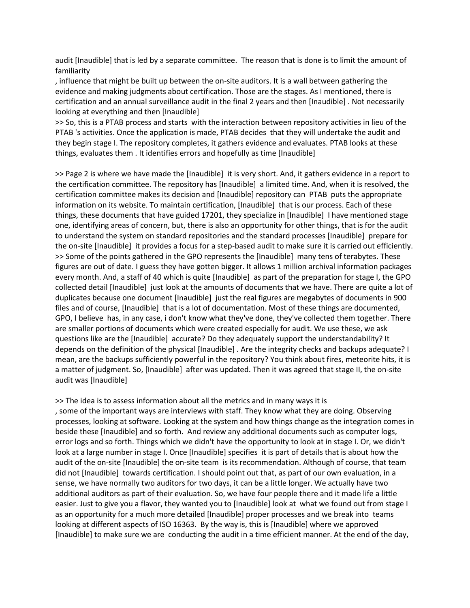audit [Inaudible] that is led by a separate committee. The reason that is done is to limit the amount of familiarity

, influence that might be built up between the on-site auditors. It is a wall between gathering the evidence and making judgments about certification. Those are the stages. As I mentioned, there is certification and an annual surveillance audit in the final 2 years and then [Inaudible] . Not necessarily looking at everything and then [Inaudible]

>> So, this is a PTAB process and starts with the interaction between repository activities in lieu of the PTAB 's activities. Once the application is made, PTAB decides that they will undertake the audit and they begin stage I. The repository completes, it gathers evidence and evaluates. PTAB looks at these things, evaluates them . It identifies errors and hopefully as time [Inaudible]

>> Page 2 is where we have made the [Inaudible] it is very short. And, it gathers evidence in a report to the certification committee. The repository has [Inaudible] a limited time. And, when it is resolved, the certification committee makes its decision and [Inaudible] repository can PTAB puts the appropriate information on its website. To maintain certification, [Inaudible] that is our process. Each of these things, these documents that have guided 17201, they specialize in [Inaudible] I have mentioned stage one, identifying areas of concern, but, there is also an opportunity for other things, that is for the audit to understand the system on standard repositories and the standard processes [Inaudible] prepare for the on-site [Inaudible] it provides a focus for a step-based audit to make sure it is carried out efficiently. >> Some of the points gathered in the GPO represents the [Inaudible] many tens of terabytes. These figures are out of date. I guess they have gotten bigger. It allows 1 million archival information packages every month. And, a staff of 40 which is quite [Inaudible] as part of the preparation for stage I, the GPO collected detail [Inaudible] just look at the amounts of documents that we have. There are quite a lot of duplicates because one document [Inaudible] just the real figures are megabytes of documents in 900 files and of course, [Inaudible] that is a lot of documentation. Most of these things are documented, GPO, I believe has, in any case, i don't know what they've done, they've collected them together. There are smaller portions of documents which were created especially for audit. We use these, we ask questions like are the [Inaudible] accurate? Do they adequately support the understandability? It depends on the definition of the physical [Inaudible] . Are the integrity checks and backups adequate? I mean, are the backups sufficiently powerful in the repository? You think about fires, meteorite hits, it is a matter of judgment. So, [Inaudible] after was updated. Then it was agreed that stage II, the on-site audit was [Inaudible]

>> The idea is to assess information about all the metrics and in many ways it is , some of the important ways are interviews with staff. They know what they are doing. Observing processes, looking at software. Looking at the system and how things change as the integration comes in beside these [Inaudible] and so forth. And review any additional documents such as computer logs, error logs and so forth. Things which we didn't have the opportunity to look at in stage I. Or, we didn't look at a large number in stage I. Once [Inaudible] specifies it is part of details that is about how the audit of the on-site [Inaudible] the on-site team is its recommendation. Although of course, that team did not [Inaudible] towards certification. I should point out that, as part of our own evaluation, in a sense, we have normally two auditors for two days, it can be a little longer. We actually have two additional auditors as part of their evaluation. So, we have four people there and it made life a little easier. Just to give you a flavor, they wanted you to [Inaudible] look at what we found out from stage I as an opportunity for a much more detailed [Inaudible] proper processes and we break into teams looking at different aspects of ISO 16363. By the way is, this is [Inaudible] where we approved [Inaudible] to make sure we are conducting the audit in a time efficient manner. At the end of the day,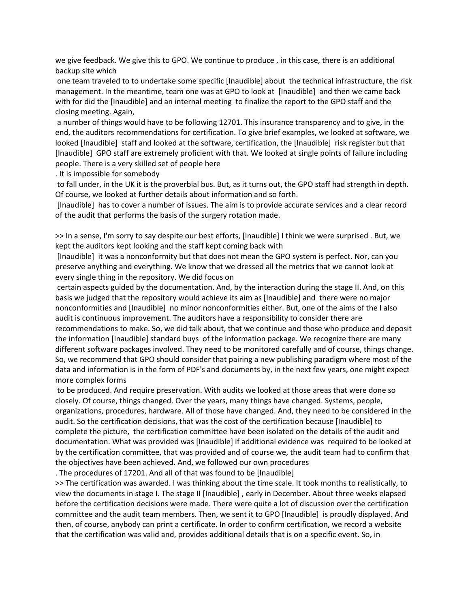we give feedback. We give this to GPO. We continue to produce , in this case, there is an additional backup site which

one team traveled to to undertake some specific [Inaudible] about the technical infrastructure, the risk management. In the meantime, team one was at GPO to look at [Inaudible] and then we came back with for did the [Inaudible] and an internal meeting to finalize the report to the GPO staff and the closing meeting. Again,

a number of things would have to be following 12701. This insurance transparency and to give, in the end, the auditors recommendations for certification. To give brief examples, we looked at software, we looked [Inaudible] staff and looked at the software, certification, the [Inaudible] risk register but that [Inaudible] GPO staff are extremely proficient with that. We looked at single points of failure including people. There is a very skilled set of people here

. It is impossible for somebody

to fall under, in the UK it is the proverbial bus. But, as it turns out, the GPO staff had strength in depth. Of course, we looked at further details about information and so forth.

[Inaudible] has to cover a number of issues. The aim is to provide accurate services and a clear record of the audit that performs the basis of the surgery rotation made.

>> In a sense, I'm sorry to say despite our best efforts, [Inaudible] I think we were surprised . But, we kept the auditors kept looking and the staff kept coming back with

[Inaudible] it was a nonconformity but that does not mean the GPO system is perfect. Nor, can you preserve anything and everything. We know that we dressed all the metrics that we cannot look at every single thing in the repository. We did focus on

certain aspects guided by the documentation. And, by the interaction during the stage II. And, on this basis we judged that the repository would achieve its aim as [Inaudible] and there were no major nonconformities and [Inaudible] no minor nonconformities either. But, one of the aims of the I also audit is continuous improvement. The auditors have a responsibility to consider there are recommendations to make. So, we did talk about, that we continue and those who produce and deposit the information [Inaudible] standard buys of the information package. We recognize there are many different software packages involved. They need to be monitored carefully and of course, things change. So, we recommend that GPO should consider that pairing a new publishing paradigm where most of the data and information is in the form of PDF's and documents by, in the next few years, one might expect more complex forms

to be produced. And require preservation. With audits we looked at those areas that were done so closely. Of course, things changed. Over the years, many things have changed. Systems, people, organizations, procedures, hardware. All of those have changed. And, they need to be considered in the audit. So the certification decisions, that was the cost of the certification because [Inaudible] to complete the picture, the certification committee have been isolated on the details of the audit and documentation. What was provided was [Inaudible] if additional evidence was required to be looked at by the certification committee, that was provided and of course we, the audit team had to confirm that the objectives have been achieved. And, we followed our own procedures

. The procedures of 17201. And all of that was found to be [Inaudible]

>> The certification was awarded. I was thinking about the time scale. It took months to realistically, to view the documents in stage I. The stage II [Inaudible] , early in December. About three weeks elapsed before the certification decisions were made. There were quite a lot of discussion over the certification committee and the audit team members. Then, we sent it to GPO [Inaudible] is proudly displayed. And then, of course, anybody can print a certificate. In order to confirm certification, we record a website that the certification was valid and, provides additional details that is on a specific event. So, in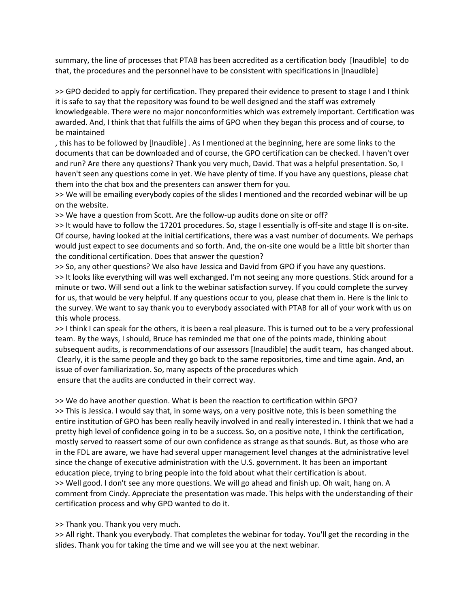summary, the line of processes that PTAB has been accredited as a certification body [Inaudible] to do that, the procedures and the personnel have to be consistent with specifications in [Inaudible]

>> GPO decided to apply for certification. They prepared their evidence to present to stage I and I think it is safe to say that the repository was found to be well designed and the staff was extremely knowledgeable. There were no major nonconformities which was extremely important. Certification was awarded. And, I think that that fulfills the aims of GPO when they began this process and of course, to be maintained

, this has to be followed by [Inaudible] . As I mentioned at the beginning, here are some links to the documents that can be downloaded and of course, the GPO certification can be checked. I haven't over and run? Are there any questions? Thank you very much, David. That was a helpful presentation. So, I haven't seen any questions come in yet. We have plenty of time. If you have any questions, please chat them into the chat box and the presenters can answer them for you.

>> We will be emailing everybody copies of the slides I mentioned and the recorded webinar will be up on the website.

>> We have a question from Scott. Are the follow-up audits done on site or off?

>> It would have to follow the 17201 procedures. So, stage I essentially is off-site and stage II is on-site. Of course, having looked at the initial certifications, there was a vast number of documents. We perhaps would just expect to see documents and so forth. And, the on-site one would be a little bit shorter than the conditional certification. Does that answer the question?

>> So, any other questions? We also have Jessica and David from GPO if you have any questions. >> It looks like everything will was well exchanged. I'm not seeing any more questions. Stick around for a minute or two. Will send out a link to the webinar satisfaction survey. If you could complete the survey for us, that would be very helpful. If any questions occur to you, please chat them in. Here is the link to the survey. We want to say thank you to everybody associated with PTAB for all of your work with us on this whole process.

>> I think I can speak for the others, it is been a real pleasure. This is turned out to be a very professional team. By the ways, I should, Bruce has reminded me that one of the points made, thinking about subsequent audits, is recommendations of our assessors [Inaudible] the audit team, has changed about. Clearly, it is the same people and they go back to the same repositories, time and time again. And, an issue of over familiarization. So, many aspects of the procedures which ensure that the audits are conducted in their correct way.

>> We do have another question. What is been the reaction to certification within GPO? >> This is Jessica. I would say that, in some ways, on a very positive note, this is been something the entire institution of GPO has been really heavily involved in and really interested in. I think that we had a pretty high level of confidence going in to be a success. So, on a positive note, I think the certification, mostly served to reassert some of our own confidence as strange as that sounds. But, as those who are in the FDL are aware, we have had several upper management level changes at the administrative level since the change of executive administration with the U.S. government. It has been an important education piece, trying to bring people into the fold about what their certification is about. >> Well good. I don't see any more questions. We will go ahead and finish up. Oh wait, hang on. A comment from Cindy. Appreciate the presentation was made. This helps with the understanding of their certification process and why GPO wanted to do it.

## >> Thank you. Thank you very much.

>> All right. Thank you everybody. That completes the webinar for today. You'll get the recording in the slides. Thank you for taking the time and we will see you at the next webinar.